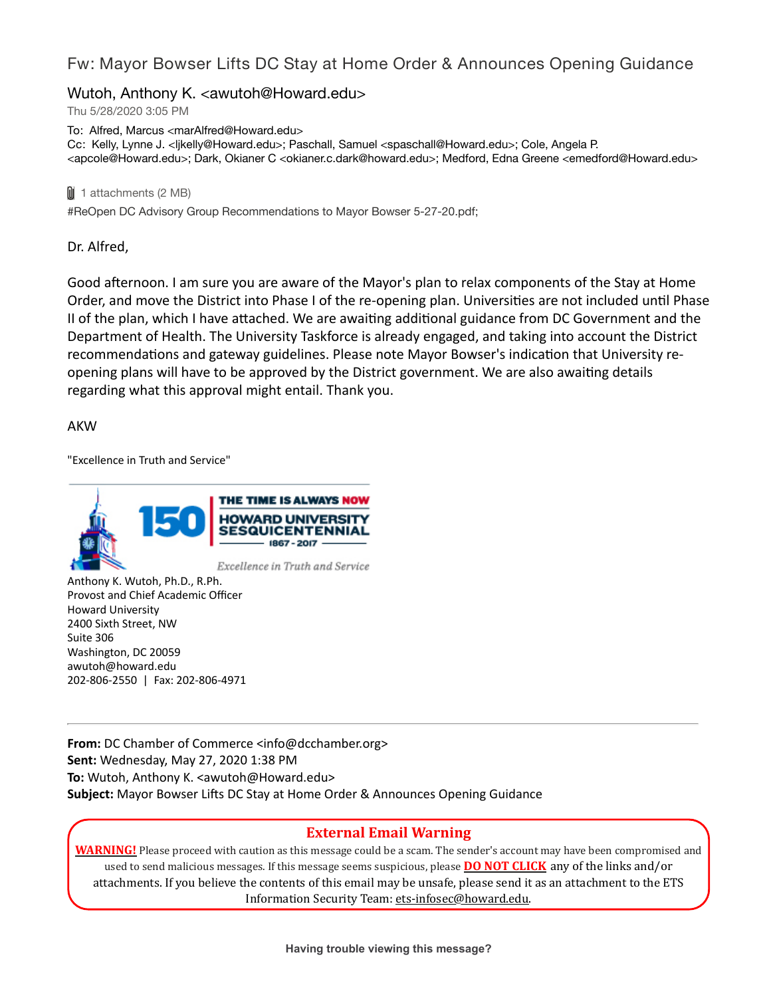### Fw: Mayor Bowser Lifts DC Stay at Home Order & Announces Opening Guidance

### Wutoh, Anthony K. <awutoh@Howard.edu>

Thu 5/28/2020 3:05 PM

To: Alfred, Marcus <marAlfred@Howard.edu> Cc: Kelly, Lynne J. <ljkelly@Howard.edu>; Paschall, Samuel <spaschall@Howard.edu>; Cole, Angela P. <apcole@Howard.edu>; Dark, Okianer C <okianer.c.dark@howard.edu>; Medford, Edna Greene <emedford@Howard.edu>

1 attachments (2 MB)

#ReOpen DC Advisory Group Recommendations to Mayor Bowser 5-27-20.pdf;

Dr. Alfred,

Good afternoon. I am sure you are aware of the Mayor's plan to relax components of the Stay at Home Order, and move the District into Phase I of the re-opening plan. Universities are not included until Phase II of the plan, which I have attached. We are awaiting additional guidance from DC Government and the Department of Health. The University Taskforce is already engaged, and taking into account the District recommendations and gateway guidelines. Please note Mayor Bowser's indication that University reopening plans will have to be approved by the District government. We are also awaiting details regarding what this approval might entail. Thank you.

AKW

"Excellence in Truth and Service"



Anthony K. Wutoh, Ph.D., R.Ph. Provost and Chief Academic Officer Howard University 2400 Sixth Street, NW Suite 306 Washington, DC 20059 awutoh@howard.edu 202-806-2550 | Fax: 202-806-4971

**From:** DC Chamber of Commerce <info@dcchamber.org> **Sent:** Wednesday, May 27, 2020 1:38 PM **To:** Wutoh, Anthony K. <awutoh@Howard.edu> **Subject:** Mayor Bowser Lifts DC Stay at Home Order & Announces Opening Guidance

#### **External Email Warning**

**WARNING!** Please proceed with caution as this message could be a scam. The sender's account may have been compromised and used to send malicious messages. If this message seems suspicious, please **DO NOT CLICK** any of the links and/or attachments. If you believe the contents of this email may be unsafe, please send it as an attachment to the ETS Information Security Team: ets-infosec@howard.edu.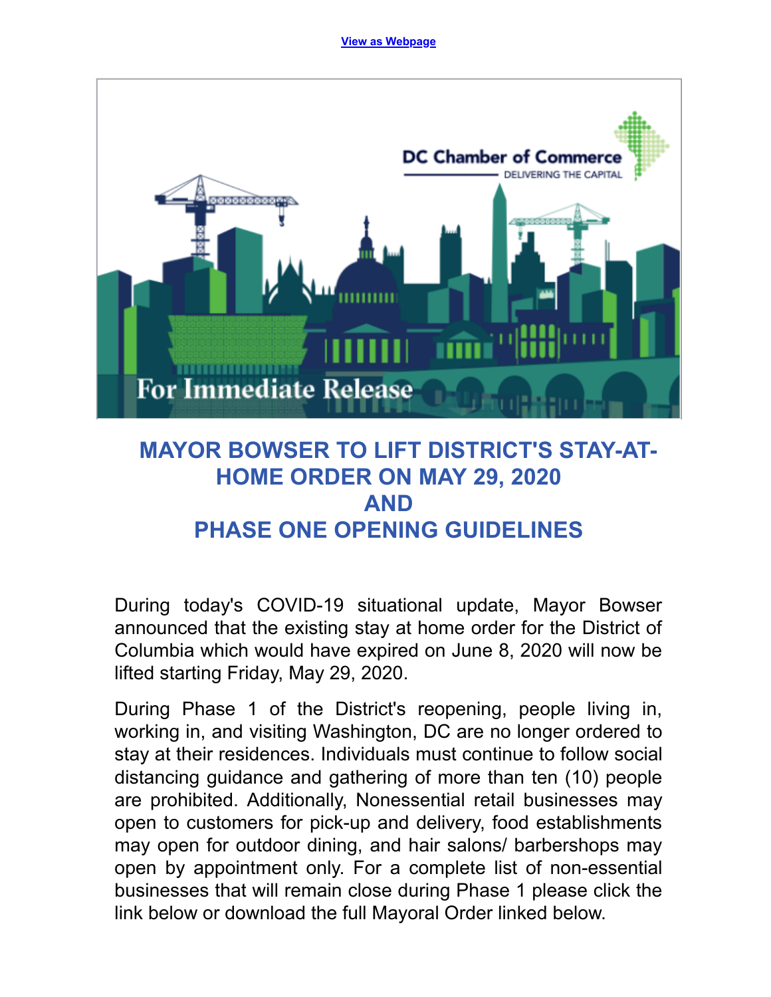**[View as Webpage](https://nam04.safelinks.protection.outlook.com/?url=http%3A%2F%2Fr20.rs6.net%2Ftn.jsp%3Ff%3D001GfccX-fcvLDbPYXY-jFdR0yf6Gfadh9OKgpxJny2HB1Hn-ITIoKx00AY1sMZY_40eoOTE3OlmRKwUEr1imvpkbrh_6HkFImJLisYaOILcvtc60faKGDiuja-IfzWQDK4CJaCeAS3BpmxhxwlqpWwSQ%3D%3D%26c%3DXEexFFMIriFmL32dW6zKWUnFUuvI8tk5MD_R4nXLDRLGfZzkSPbbZQ%3D%3D%26ch%3DjZJiicE69VmOhpqFfiivRAVCPr3R1SyunyGfFOrKzIdxms7fL0F9yQ%3D%3D&data=02%7C01%7CmarAlfred%40Howard.edu%7Cb6161f21675a41a43bec08d8033a1017%7C02ac0c07b75f46bf9b133630ba94bb69%7C0%7C0%7C637262895244284379&sdata=SgdP62NL3iQzxv1m9xfyZ8674aRyIlP%2BHiDRlZuQXdg%3D&reserved=0)**



# **MAYOR BOWSER TO LIFT DISTRICT'S STAY-AT-HOME ORDER ON MAY 29, 2020 AND PHASE ONE OPENING GUIDELINES**

During today's COVID-19 situational update, Mayor Bowser announced that the existing stay at home order for the District of Columbia which would have expired on June 8, 2020 will now be lifted starting Friday, May 29, 2020.

During Phase 1 of the District's reopening, people living in, working in, and visiting Washington, DC are no longer ordered to stay at their residences. Individuals must continue to follow social distancing guidance and gathering of more than ten (10) people are prohibited. Additionally, Nonessential retail businesses may open to customers for pick-up and delivery, food establishments may open for outdoor dining, and hair salons/ barbershops may open by appointment only. For a complete list of non-essential businesses that will remain close during Phase 1 please click the link below or download the full Mayoral Order linked below.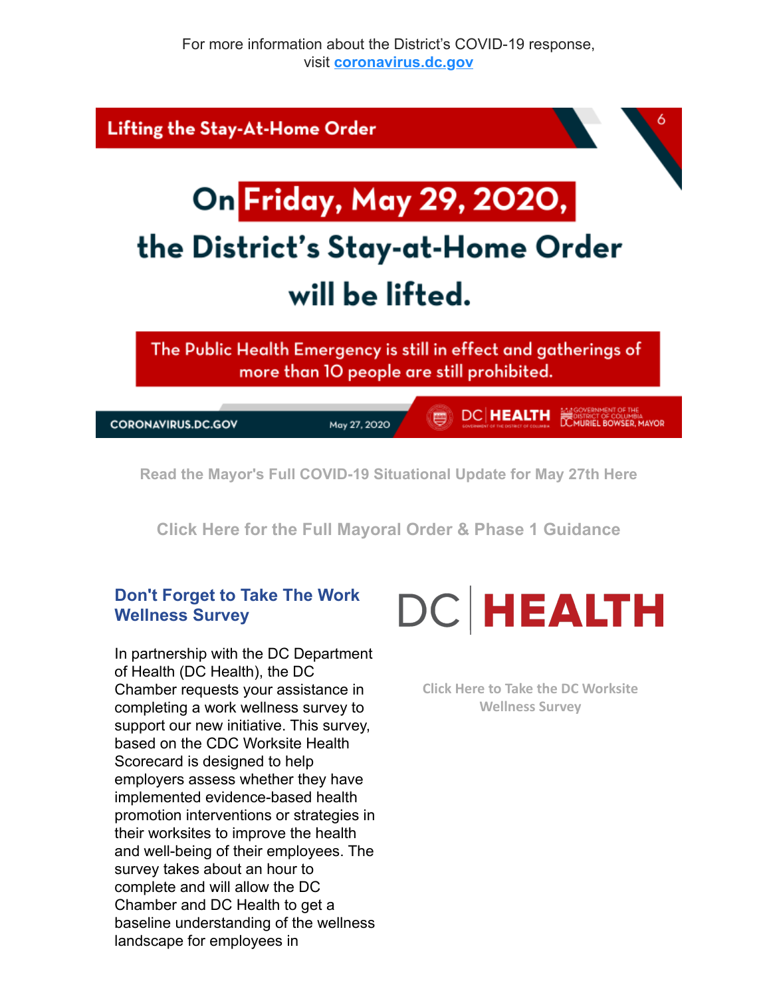

**[Click Here for the Full Mayoral Order & Phase 1 Guidance](https://nam04.safelinks.protection.outlook.com/?url=http%3A%2F%2Fr20.rs6.net%2Ftn.jsp%3Ff%3D001GfccX-fcvLDbPYXY-jFdR0yf6Gfadh9OKgpxJny2HB1Hn-ITIoKx00AY1sMZY_40vQ3KTIZHy-6JftLH0fwIAa9Il7vcUShcoJGQy0tLpg8iLgWDilF22_4XaKCzVT0dMg--tFsgrg_iKzIkKLUzMLUrJMnGbUMC%26c%3DXEexFFMIriFmL32dW6zKWUnFUuvI8tk5MD_R4nXLDRLGfZzkSPbbZQ%3D%3D%26ch%3DjZJiicE69VmOhpqFfiivRAVCPr3R1SyunyGfFOrKzIdxms7fL0F9yQ%3D%3D&data=02%7C01%7CmarAlfred%40Howard.edu%7Cb6161f21675a41a43bec08d8033a1017%7C02ac0c07b75f46bf9b133630ba94bb69%7C0%7C0%7C637262895244304361&sdata=hcKnL0MFiwnLiImRNZsu4OXLGgKMgPXa4XRMrkpbkE8%3D&reserved=0)**

## **Don't Forget to Take The Work Wellness Survey**

In partnership with the DC Department of Health (DC Health), the DC Chamber requests your assistance in completing a work wellness survey to support our new initiative. This survey, based on the CDC Worksite Health Scorecard is designed to help employers assess whether they have implemented evidence-based health promotion interventions or strategies in their worksites to improve the health and well-being of their employees. The survey takes about an hour to complete and will allow the DC Chamber and DC Health to get a baseline understanding of the wellness landscape for employees in



**[Click Here to Take the DC Worksite](https://nam04.safelinks.protection.outlook.com/?url=http%3A%2F%2Fr20.rs6.net%2Ftn.jsp%3Ff%3D001GfccX-fcvLDbPYXY-jFdR0yf6Gfadh9OKgpxJny2HB1Hn-ITIoKx00AY1sMZY_40PPAfeg2rQ5XA35CMez-MHChJkTOScReYM8IwjkutPv62Ht2F1R75W7rG68XYBaPvsRFHn-eKGOyKar_qvec8uv49B-gp8Sbu%26c%3DXEexFFMIriFmL32dW6zKWUnFUuvI8tk5MD_R4nXLDRLGfZzkSPbbZQ%3D%3D%26ch%3DjZJiicE69VmOhpqFfiivRAVCPr3R1SyunyGfFOrKzIdxms7fL0F9yQ%3D%3D&data=02%7C01%7CmarAlfred%40Howard.edu%7Cb6161f21675a41a43bec08d8033a1017%7C02ac0c07b75f46bf9b133630ba94bb69%7C0%7C0%7C637262895244304361&sdata=iQvbfKiSkzYPP05sjDGffjGsT9CkCsBJrJPRemerYNE%3D&reserved=0) Wellness Survey**